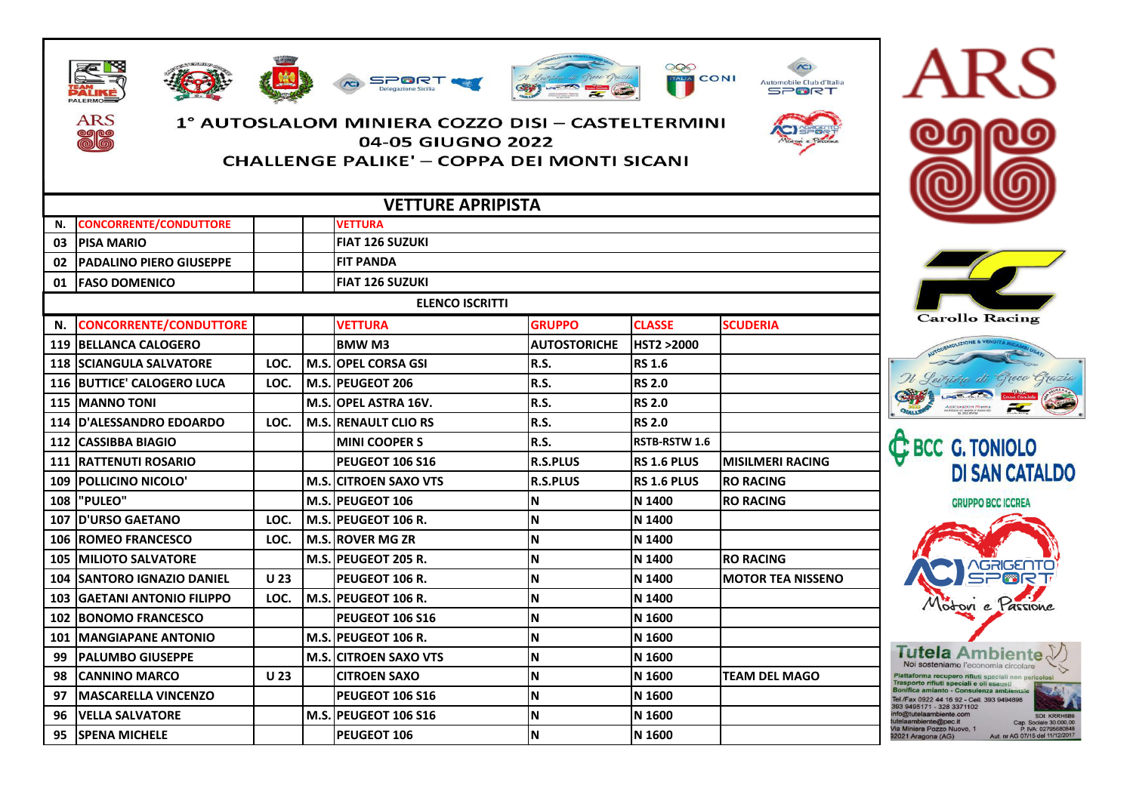

ARS







## 1° AUTOSLALOM MINIERA COZZO DISI – CASTELTERMINI 04-05 GIUGNO 2022

SPORT.

**CHALLENGE PALIKE' - COPPA DEI MONTI SICANI** 

| - |  |
|---|--|
|   |  |
|   |  |
|   |  |





**ARS** 





Trasporto rifiuti speciali e oli esausti Bonifica amianto - Consulenza ambie Tel./Fax 0922 44 16 92 - Cell. 393 9494898 393 9495171 - 328 3371102 fo@tutelaambiente.com ambiente@nec.it ia Miniera Pozzo Nuovo, 1 P. IVA: 02795 2021 Aragona (AG)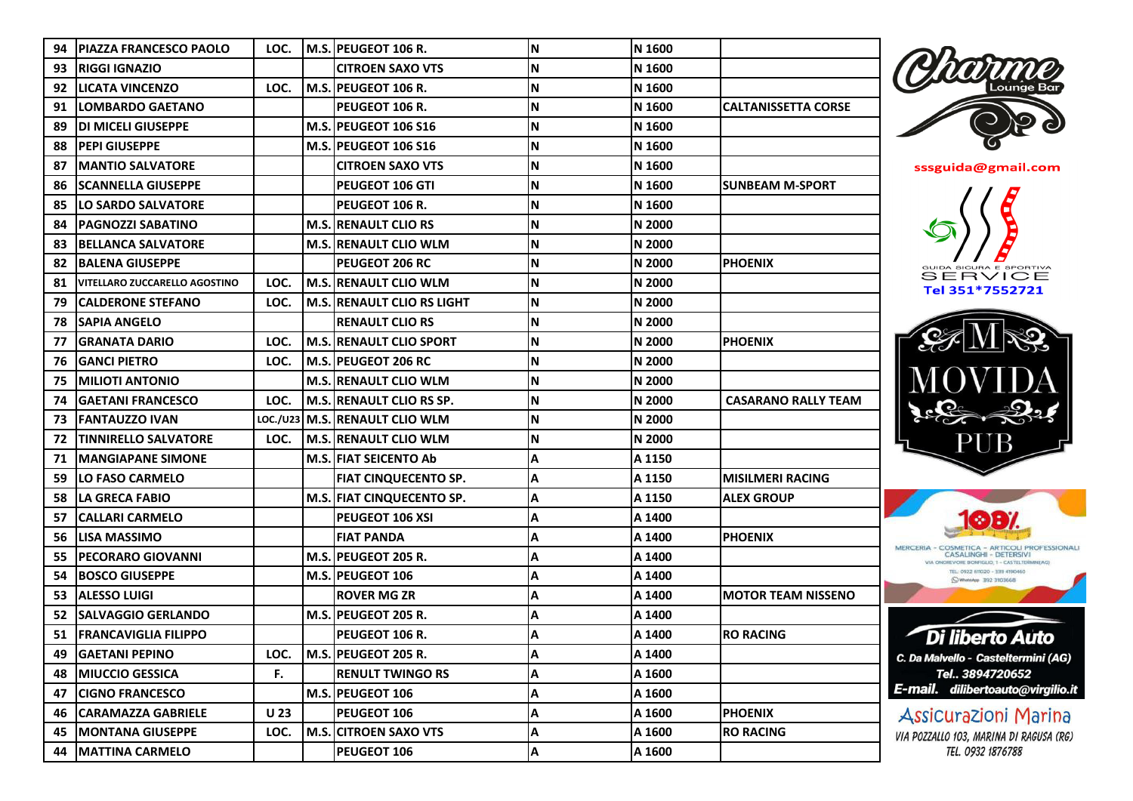| 94  | IPIAZZA FRANCESCO PAOLO              | LOC. |      | M.S. PEUGEOT 106 R.               | N  | N 1600 |                            |
|-----|--------------------------------------|------|------|-----------------------------------|----|--------|----------------------------|
| 93  | <b>IRIGGI IGNAZIO</b>                |      |      | <b>CITROEN SAXO VTS</b>           | N  | N 1600 |                            |
| 92  | <b>LICATA VINCENZO</b>               | LOC. |      | M.S. PEUGEOT 106 R.               | N  | N 1600 |                            |
| 91  | <b>LOMBARDO GAETANO</b>              |      |      | PEUGEOT 106 R.                    | N  | N 1600 | <b>CALTANISSETTA CORSE</b> |
| 89  | IDI MICELI GIUSEPPE                  |      |      | M.S. PEUGEOT 106 S16              | N  | N 1600 |                            |
| 88  | IPEPI GIUSEPPE                       |      |      | <b>M.S. PEUGEOT 106 S16</b>       | N  | N 1600 |                            |
| 87  | <b>IMANTIO SALVATORE</b>             |      |      | CITROEN SAXO VTS                  | N  | N 1600 |                            |
| 86  | ISCANNELLA GIUSEPPE                  |      |      | <b>PEUGEOT 106 GTI</b>            | N  | N 1600 | <b>SUNBEAM M-SPORT</b>     |
| 85  | <b>LO SARDO SALVATORE</b>            |      |      | PEUGEOT 106 R.                    | N  | N 1600 |                            |
| 84  | <b>PAGNOZZI SABATINO</b>             |      |      | <b>M.S. RENAULT CLIO RS</b>       | N  | N 2000 |                            |
| 83  | <b>BELLANCA SALVATORE</b>            |      |      | <b>M.S. RENAULT CLIO WLM</b>      | N  | N 2000 |                            |
| 82. | <b>IBALENA GIUSEPPE</b>              |      |      | <b>PEUGEOT 206 RC</b>             | N  | N 2000 | <b>PHOENIX</b>             |
| 81  | <b>VITELLARO ZUCCARELLO AGOSTINO</b> | LOC. |      | <b>M.S. RENAULT CLIO WLM</b>      | N  | N 2000 |                            |
| 79  | <b>CALDERONE STEFANO</b>             | LOC. |      | <b>M.S. RENAULT CLIO RS LIGHT</b> | N  | N 2000 |                            |
| 78  | ISAPIA ANGELO                        |      |      | RENAULT CLIO RS                   | N  | N 2000 |                            |
| 77  | <b>GRANATA DARIO</b>                 | LOC. |      | <b>M.S. RENAULT CLIO SPORT</b>    | N  | N 2000 | <b>PHOENIX</b>             |
| 76  | <b>IGANCI PIETRO</b>                 | LOC. |      | M.S. <b>PEUGEOT 206 RC</b>        | N  | N 2000 |                            |
| 75  | <b>MILIOTI ANTONIO</b>               |      |      | <b>M.S. RENAULT CLIO WLM</b>      | N  | N 2000 |                            |
| 74  | GAETANI FRANCESCO                    | LOC. |      | M.S. RENAULT CLIO RS SP.          | N  | N 2000 | <b>CASARANO RALLY TEAM</b> |
| 73  | <b>IFANTAUZZO IVAN</b>               |      |      | LOC./U23 M.S. RENAULT CLIO WLM    | N  | N 2000 |                            |
| 72  | <b>TINNIRELLO SALVATORE</b>          | LOC. |      | <b>M.S. RENAULT CLIO WLM</b>      | N  | N 2000 |                            |
| 71  | <b>MANGIAPANE SIMONE</b>             |      |      | <b>M.S. FIAT SEICENTO Ab</b>      | Α  | A 1150 |                            |
| 59  | <b>LO FASO CARMELO</b>               |      |      | <b>FIAT CINQUECENTO SP.</b>       | Α  | A 1150 | <b>MISILMERI RACING</b>    |
| 58. | <b>ILA GRECA FABIO</b>               |      |      | M.S. FIAT CINQUECENTO SP.         | A  | A 1150 | <b>ALEX GROUP</b>          |
| 57  | <b>CALLARI CARMELO</b>               |      |      | PEUGEOT 106 XSI                   | Α  | A 1400 |                            |
| 56  | <b>LISA MASSIMO</b>                  |      |      | <b>FIAT PANDA</b>                 | Α  | A 1400 | <b>PHOENIX</b>             |
| 55  | <b>PECORARO GIOVANNI</b>             |      |      | M.S. PEUGEOT 205 R.               | Α  | A 1400 |                            |
| 54  | <b>BOSCO GIUSEPPE</b>                |      |      | M.S. PEUGEOT 106                  | Α  | A 1400 |                            |
| 53  | <b>ALESSO LUIGI</b>                  |      |      | <b>ROVER MG ZR</b>                | Α  | A 1400 | <b>MOTOR TEAM NISSENO</b>  |
| 52  | <b>SALVAGGIO GERLANDO</b>            |      |      | M.S. PEUGEOT 205 R.               | Α  | A 1400 |                            |
|     | 51 FRANCAVIGLIA FILIPPO              |      |      | PEUGEOT 106 R.                    | l٨ | A 1400 | <b>RO RACING</b>           |
| 49  | <b>GAETANI PEPINO</b>                | LOC. |      | M.S. PEUGEOT 205 R.               | A  | A 1400 |                            |
| 48  | <b>MIUCCIO GESSICA</b>               | F.   |      | <b>RENULT TWINGO RS</b>           | Α  | A 1600 |                            |
| 47  | <b>CIGNO FRANCESCO</b>               |      |      | M.S. PEUGEOT 106                  | A  | A 1600 |                            |
| 46  | <b>CARAMAZZA GABRIELE</b>            | U 23 |      | PEUGEOT 106                       | Α  | A 1600 | <b>PHOENIX</b>             |
| 45  | <b>MONTANA GIUSEPPE</b>              | LOC. | M.S. | <b>CITROEN SAXO VTS</b>           | Α  | A 1600 | <b>RO RACING</b>           |
| 44  | <b>MATTINA CARMELO</b>               |      |      | PEUGEOT 106                       | A  | A 1600 |                            |
|     |                                      |      |      |                                   |    |        |                            |





Tel 351\*7552721





Di liberto Auto C. Da Malvello - Casteltermini (AG) Tel.. 3894720652 E-mail. dilibertoauto@virgilio.it

**Assicurazioni Marina** VIA POZZALLO 103, MARINA DI RAGUSA (RG) TEL. 0932 1876788